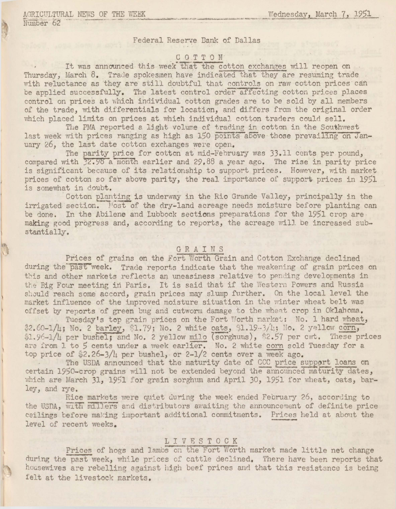Number 62

Federal Reserve Bank of Dallas

## COTTON

It was announced this week that the cotton exchanges will reopen on Thursday, March 8. Trade spokesmen have indicated that they are resuming trade with reluctance as they are still doubtful that controls on raw cotton prices can be applied successfully. The latest control order affecting cotton prices places control on prices at which individual cotton grades are to be sold by all members of the trade, with differentials for location, and differs from the original order which placed limits on prices at which individual cotton traders could sell.

The PMA reported a light volume of trading in cotton in the Southwest last week with prices ranging as high as 150 points above those prevailing on January 26. the last date cotton exchanges were open.

The parity price for cotton at mid-February was 33.11 cents per pound, compared with 32.98 a month earlier and 29.88 a year ago. The rise in parity price is significant because of its relationship to support prices. However, with market prices of cotton so far above parity, the real importance of support prices in 1951 is somewhat in doubt.

Cotton planting is underway in the Rio Grande Valley, principally in the irrigated section. Nost of the dry-land acreage needs moisture before planting can be done. In the Abilene and Lubbock sections preparations for the 1951 crop are making good progress and, according to reports, the acreage will be increased substantially.

### GRAINS

Prices of grains on the Fort Worth Grain and Cotton Exchange declined during the past week. Trade reports indicate that the weakening of grain prices on this and other markets reflects an uneasiness relative to pending developments in the Big Four meeting in Paris. It is said that if the Western Powers and Russia should reach some accord, grain prices may slump further. On the local level the market influence of the improved moisture situation in the winter wheat belt was offset by reports of green bug and cutworm damage to the wheat crop in Oklahoma.

Tuesday's top grain prices on the Fort Worth market: No. 1 hard wheat, \$2.60-1/4; No. 2 barley, \$1.79; No. 2 white oats, \$1.19-3/1; No. 2 yellow corn, \$1.96-1/4 per bushel; and No. 2 yellow milo (sorghums), \$2.57 per cwt. These prices are from 1 to 5 cents under a week earlier. No. 2 white corn sold Tuesday for a top price of \$2.26-3/4 per bushel, or 2-1/2 cents over a week ago.

The USDA announced that the maturity date of CCC price support loans on certain 1950-crop grains will not be extended beyond the announced maturity dates, which are March 31, 1951 for grain sorghum and April 30, 1951 for wheat, oats, barley, and rye.

Rice markets were quiet during the week ended February 26, according to the USDA, with millers and distributors awaiting the announcement of definite price ceilings before making important additional commitments. Prices held at about the level of recent weeks.

# LIVESTOCK

Prices of hogs and lambs on the Fort Worth market made little net change during the past week, while prices of cattle declined. There have been reports that housewives are rebelling against high beef prices and that this resistance is being felt at the livestock markets.